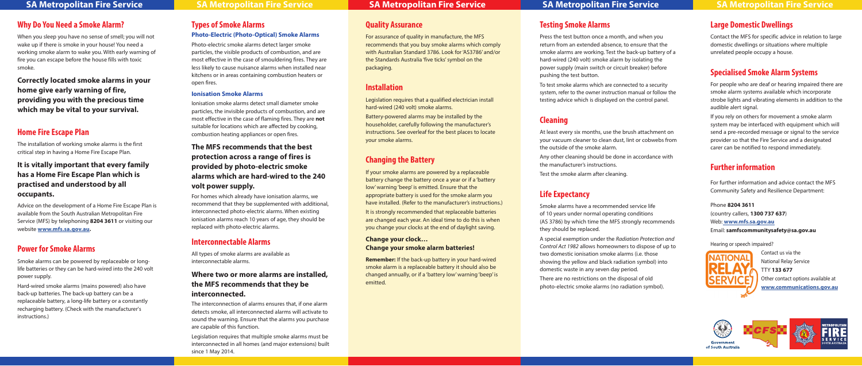# **Types of Smoke Alarms**

### **Photo-Electric (Photo-Optical) Smoke Alarms**

Photo-electric smoke alarms detect larger smoke particles, the visible products of combustion, and are most effective in the case of smouldering fires. They are less likely to cause nuisance alarms when installed near kitchens or in areas containing combustion heaters or open fires.

### **Ionisation Smoke Alarms**

Ionisation smoke alarms detect small diameter smoke particles, the invisible products of combustion, and are most effective in the case of flaming fires. They are **not** suitable for locations which are affected by cooking, combustion heating appliances or open fires.

### **The MFS recommends that the best protection across a range of fires is provided by photo-electric smoke alarms which are hard-wired to the 240 volt power supply.**

For homes which already have ionisation alarms, we recommend that they be supplemented with additional, interconnected photo-electric alarms. When existing ionisation alarms reach 10 years of age, they should be replaced with photo-electric alarms.

## **Interconnectable Alarms**

All types of smoke alarms are available as interconnectable alarms.

### **Where two or more alarms are installed, the MFS recommends that they be interconnected.**

The interconnection of alarms ensures that, if one alarm detects smoke, all interconnected alarms will activate to sound the warning. Ensure that the alarms you purchase are capable of this function.

Legislation requires that multiple smoke alarms must be interconnected in all homes (and major extensions) built since 1 May 2014.

# **Quality Assurance**

For assurance of quality in manufacture, the MFS recommends that you buy smoke alarms which comply with Australian Standard 3786. Look for 'AS3786' and/or the Standards Australia 'five ticks' symbol on the packaging.

# **Installation**

Legislation requires that a qualified electrician install hard-wired (240 volt) smoke alarms.

Battery-powered alarms may be installed by the householder, carefully following the manufacturer's instructions. See overleaf for the best places to locate your smoke alarms.

# **Changing the Battery**

If your smoke alarms are powered by a replaceable battery change the battery once a year or if a 'battery low' warning 'beep' is emitted. Ensure that the appropriate battery is used for the smoke alarm you have installed. (Refer to the manufacturer's instructions.) It is strongly recommended that replaceable batteries are changed each year. An ideal time to do this is when you change your clocks at the end of daylight saving.

#### **Change your clock… Change your smoke alarm batteries!**

**Remember:** If the back-up battery in your hard-wired smoke alarm is a replaceable battery it should also be changed annually, or if a 'battery low' warning 'beep' is emitted.

# **Testing Smoke Alarms**

Press the test button once a month, and when you return from an extended absence, to ensure that the smoke alarms are working. Test the back-up battery of a hard-wired (240 volt) smoke alarm by isolating the power supply (main switch or circuit breaker) before pushing the test button. To test smoke alarms which are connected to a security system, refer to the owner instruction manual or follow the testing advice which is displayed on the control panel.

# **Cleaning**

At least every six months, use the brush attachment on your vacuum cleaner to clean dust, lint or cobwebs from the outside of the smoke alarm.

Any other cleaning should be done in accordance with the manufacturer's instructions.

Test the smoke alarm after cleaning.

# **Life Expectancy**

Smoke alarms have a recommended service life of 10 years under normal operating conditions (AS 3786) by which time the MFS strongly recommends they should be replaced.

A special exemption under the *Radiation Protection and Control Act 1982* allows homeowners to dispose of up to two domestic ionisation smoke alarms (i.e. those showing the yellow and black radiation symbol) into domestic waste in any seven day period.

There are no restrictions on the disposal of old photo-electric smoke alarms (no radiation symbol).

# **Large Domestic Dwellings**

Contact the MFS for specific advice in relation to large domestic dwellings or situations where multiple unrelated people occupy a house.

# **Specialised Smoke Alarm Systems**

For people who are deaf or hearing impaired there are smoke alarm systems available which incorporate strobe lights and vibrating elements in addition to the audible alert signal.

If you rely on others for movement a smoke alarm system may be interfaced with equipment which will send a pre-recorded message or signal to the service provider so that the Fire Service and a designated carer can be notified to respond immediately.

# **Further information**

For further information and advice contact the MFS Community Safety and Resilience Department:

Phone **8204 3611** (country callers, **1300 737 637**) Web: **www.mfs.sa.gov.au** Email: **samfscommunitysafety@sa.gov.au**

Hearing or speech impaired?



Contact us via the National Relay Service TTY **133 677** Other contact options available at **www.communications.gov.au**







of South Australia

# **Why Do You Need a Smoke Alarm?**

When you sleep you have no sense of smell; you will not wake up if there is smoke in your house! You need a working smoke alarm to wake you. With early warning of fire you can escape before the house fills with toxic smoke.

**Correctly located smoke alarms in your home give early warning of fire, providing you with the precious time which may be vital to your survival.**

# **Home Fire Escape Plan**

The installation of working smoke alarms is the first critical step in having a Home Fire Escape Plan.

### **It is vitally important that every family has a Home Fire Escape Plan which is practised and understood by all occupants.**

Advice on the development of a Home Fire Escape Plan is available from the South Australian Metropolitan Fire Service (MFS) by telephoning **8204 3611** or visiting our website **www.mfs.sa.gov.au.**

# **Power for Smoke Alarms**

Smoke alarms can be powered by replaceable or longlife batteries or they can be hard-wired into the 240 volt power supply.

Hard-wired smoke alarms (mains powered) also have back-up batteries. The back-up battery can be a replaceable battery, a long-life battery or a constantly recharging battery. (Check with the manufacturer's instructions.)